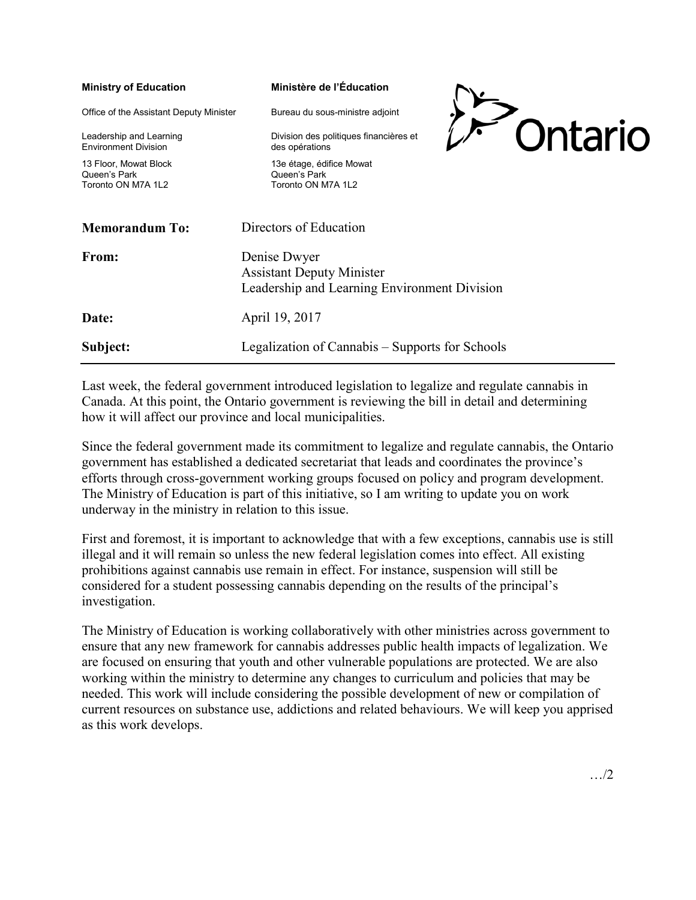| <b>Ministry of Education</b>                                 |                                                                                                  | Ministère de l'Éducation                                        |  |         |
|--------------------------------------------------------------|--------------------------------------------------------------------------------------------------|-----------------------------------------------------------------|--|---------|
| Office of the Assistant Deputy Minister                      |                                                                                                  | Bureau du sous-ministre adjoint                                 |  |         |
| Leadership and Learning<br><b>Environment Division</b>       |                                                                                                  | Division des politiques financières et<br>des opérations        |  | Ontario |
| 13 Floor, Mowat Block<br>Queen's Park<br>Toronto ON M7A 1I 2 |                                                                                                  | 13e étage, édifice Mowat<br>Queen's Park<br>Toronto ON M7A 1I 2 |  |         |
| <b>Memorandum To:</b>                                        |                                                                                                  | Directors of Education                                          |  |         |
| From:                                                        | Denise Dwyer<br><b>Assistant Deputy Minister</b><br>Leadership and Learning Environment Division |                                                                 |  |         |
| Date:                                                        | April 19, 2017                                                                                   |                                                                 |  |         |
| Subject:                                                     | Legalization of Cannabis – Supports for Schools                                                  |                                                                 |  |         |

Last week, the federal government introduced legislation to legalize and regulate cannabis in Canada. At this point, the Ontario government is reviewing the bill in detail and determining how it will affect our province and local municipalities.

Since the federal government made its commitment to legalize and regulate cannabis, the Ontario government has established a dedicated secretariat that leads and coordinates the province's efforts through cross-government working groups focused on policy and program development. The Ministry of Education is part of this initiative, so I am writing to update you on work underway in the ministry in relation to this issue.

First and foremost, it is important to acknowledge that with a few exceptions, cannabis use is still illegal and it will remain so unless the new federal legislation comes into effect. All existing prohibitions against cannabis use remain in effect. For instance, suspension will still be considered for a student possessing cannabis depending on the results of the principal's investigation.

The Ministry of Education is working collaboratively with other ministries across government to ensure that any new framework for cannabis addresses public health impacts of legalization. We are focused on ensuring that youth and other vulnerable populations are protected. We are also working within the ministry to determine any changes to curriculum and policies that may be needed. This work will include considering the possible development of new or compilation of current resources on substance use, addictions and related behaviours. We will keep you apprised as this work develops.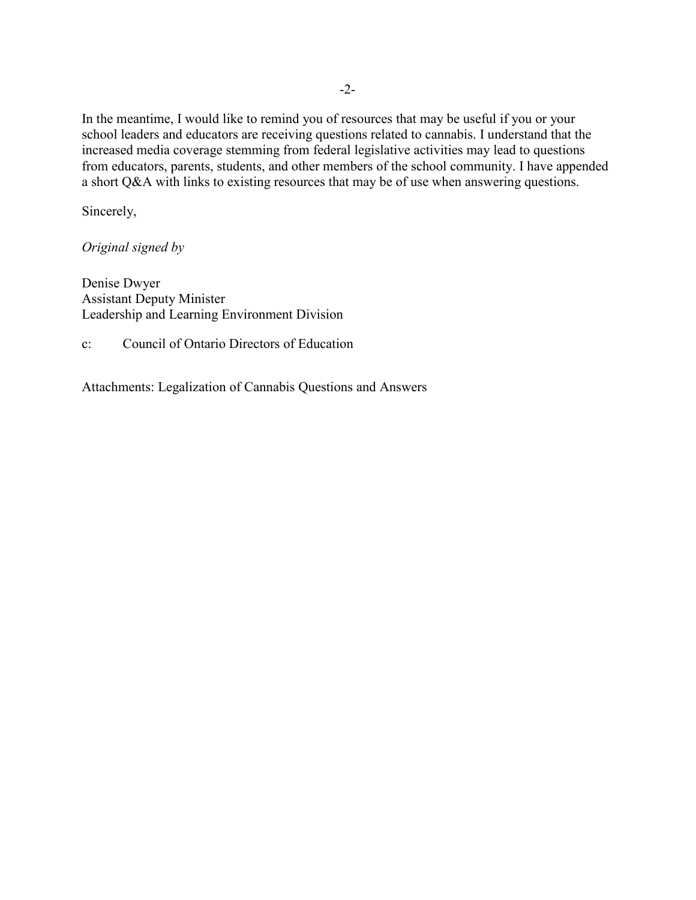In the meantime, I would like to remind you of resources that may be useful if you or your school leaders and educators are receiving questions related to cannabis. I understand that the increased media coverage stemming from federal legislative activities may lead to questions from educators, parents, students, and other members of the school community. I have appended a short Q&A with links to existing resources that may be of use when answering questions.

Sincerely,

*Original signed by* 

Denise Dwyer Assistant Deputy Minister Leadership and Learning Environment Division

c: Council of Ontario Directors of Education

Attachments: Legalization of Cannabis Questions and Answers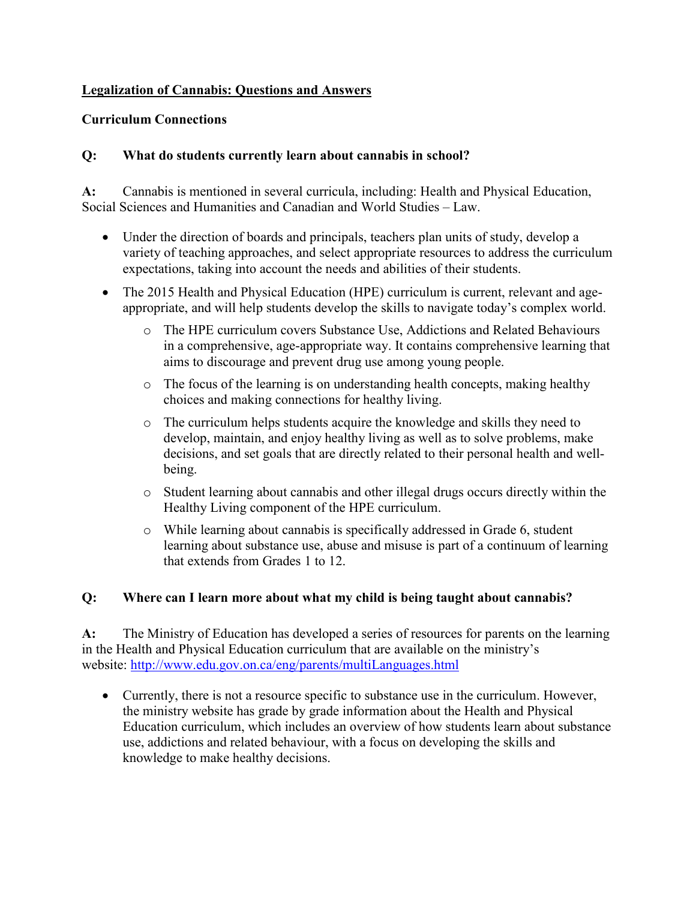# **Legalization of Cannabis: Questions and Answers**

## **Curriculum Connections**

## **Q: What do students currently learn about cannabis in school?**

**A:** Cannabis is mentioned in several curricula, including: Health and Physical Education, Social Sciences and Humanities and Canadian and World Studies – Law.

- Under the direction of boards and principals, teachers plan units of study, develop a variety of teaching approaches, and select appropriate resources to address the curriculum expectations, taking into account the needs and abilities of their students.
- The 2015 Health and Physical Education (HPE) curriculum is current, relevant and ageappropriate, and will help students develop the skills to navigate today's complex world.
	- o The HPE curriculum covers Substance Use, Addictions and Related Behaviours in a comprehensive, age-appropriate way. It contains comprehensive learning that aims to discourage and prevent drug use among young people.
	- o The focus of the learning is on understanding health concepts, making healthy choices and making connections for healthy living.
	- o The curriculum helps students acquire the knowledge and skills they need to develop, maintain, and enjoy healthy living as well as to solve problems, make decisions, and set goals that are directly related to their personal health and wellbeing.
	- o Student learning about cannabis and other illegal drugs occurs directly within the Healthy Living component of the HPE curriculum.
	- o While learning about cannabis is specifically addressed in Grade 6, student learning about substance use, abuse and misuse is part of a continuum of learning that extends from Grades 1 to 12.

#### **Q: Where can I learn more about what my child is being taught about cannabis?**

**A:** The Ministry of Education has developed a series of resources for parents on the learning in the Health and Physical Education curriculum that are available on the ministry's website: <http://www.edu.gov.on.ca/eng/parents/multiLanguages.html>

• Currently, there is not a resource specific to substance use in the curriculum. However, the ministry website has grade by grade information about the Health and Physical Education curriculum, which includes an overview of how students learn about substance use, addictions and related behaviour, with a focus on developing the skills and knowledge to make healthy decisions.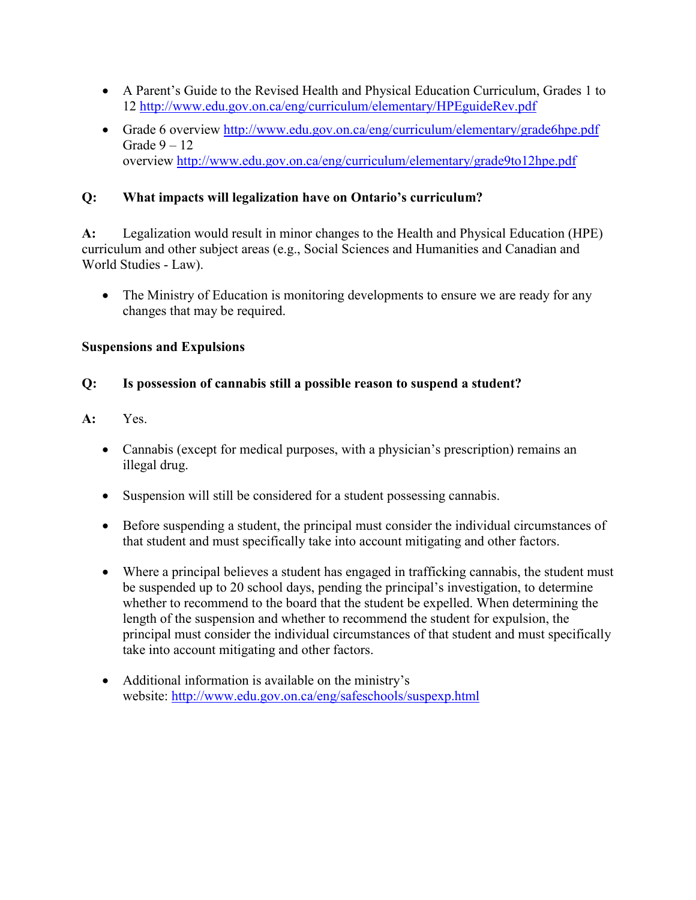- A Parent's Guide to the Revised Health and Physical Education Curriculum, Grades 1 to 12 <http://www.edu.gov.on.ca/eng/curriculum/elementary/HPEguideRev.pdf>
- Grade 6 overview <http://www.edu.gov.on.ca/eng/curriculum/elementary/grade6hpe.pdf> Grade  $9 - 12$ overview <http://www.edu.gov.on.ca/eng/curriculum/elementary/grade9to12hpe.pdf>

# **Q: What impacts will legalization have on Ontario's curriculum?**

**A:** Legalization would result in minor changes to the Health and Physical Education (HPE) curriculum and other subject areas (e.g., Social Sciences and Humanities and Canadian and World Studies - Law).

• The Ministry of Education is monitoring developments to ensure we are ready for any changes that may be required.

#### **Suspensions and Expulsions**

## **Q: Is possession of cannabis still a possible reason to suspend a student?**

## **A:** Yes.

- Cannabis (except for medical purposes, with a physician's prescription) remains an illegal drug.
- Suspension will still be considered for a student possessing cannabis.
- Before suspending a student, the principal must consider the individual circumstances of that student and must specifically take into account mitigating and other factors.
- Where a principal believes a student has engaged in trafficking cannabis, the student must be suspended up to 20 school days, pending the principal's investigation, to determine whether to recommend to the board that the student be expelled. When determining the length of the suspension and whether to recommend the student for expulsion, the principal must consider the individual circumstances of that student and must specifically take into account mitigating and other factors.
- Additional information is available on the ministry's website: <http://www.edu.gov.on.ca/eng/safeschools/suspexp.html>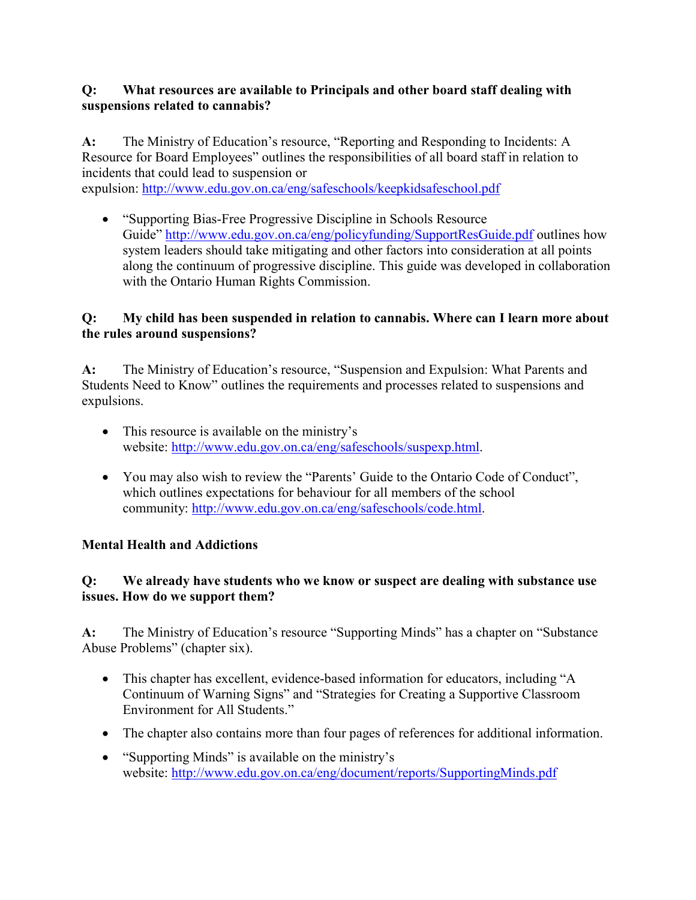## **Q: What resources are available to Principals and other board staff dealing with suspensions related to cannabis?**

**A:** The Ministry of Education's resource, "Reporting and Responding to Incidents: A Resource for Board Employees" outlines the responsibilities of all board staff in relation to incidents that could lead to suspension or expulsion:<http://www.edu.gov.on.ca/eng/safeschools/keepkidsafeschool.pdf>

• "Supporting Bias-Free Progressive Discipline in Schools Resource Guide" <http://www.edu.gov.on.ca/eng/policyfunding/SupportResGuide.pdf> outlines how system leaders should take mitigating and other factors into consideration at all points along the continuum of progressive discipline. This guide was developed in collaboration with the Ontario Human Rights Commission.

# **Q: My child has been suspended in relation to cannabis. Where can I learn more about the rules around suspensions?**

**A:** The Ministry of Education's resource, "Suspension and Expulsion: What Parents and Students Need to Know" outlines the requirements and processes related to suspensions and expulsions.

- This resource is available on the ministry's website: [http://www.edu.gov.on.ca/eng/safeschools/suspexp.html.](http://www.edu.gov.on.ca/eng/safeschools/suspexp.html)
- You may also wish to review the "Parents' Guide to the Ontario Code of Conduct", which outlines expectations for behaviour for all members of the school community: [http://www.edu.gov.on.ca/eng/safeschools/code.html.](http://www.edu.gov.on.ca/eng/safeschools/code.html)

# **Mental Health and Addictions**

## **Q: We already have students who we know or suspect are dealing with substance use issues. How do we support them?**

**A:** The Ministry of Education's resource "Supporting Minds" has a chapter on "Substance Abuse Problems" (chapter six).

- This chapter has excellent, evidence-based information for educators, including "A Continuum of Warning Signs" and "Strategies for Creating a Supportive Classroom Environment for All Students."
- The chapter also contains more than four pages of references for additional information.
- "Supporting Minds" is available on the ministry's website: <http://www.edu.gov.on.ca/eng/document/reports/SupportingMinds.pdf>